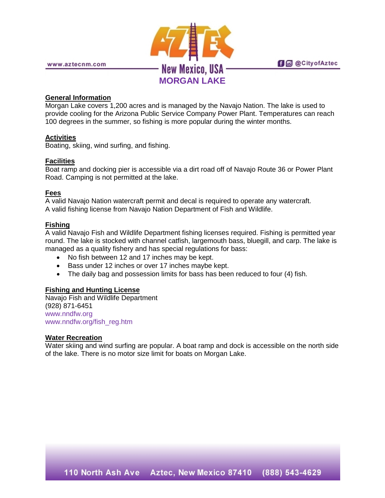

**fi** @ @ City of Aztec

# **General Information**

Morgan Lake covers 1,200 acres and is managed by the Navajo Nation. The lake is used to provide cooling for the Arizona Public Service Company Power Plant. Temperatures can reach 100 degrees in the summer, so fishing is more popular during the winter months.

## **Activities**

Boating, skiing, wind surfing, and fishing.

## **Facilities**

Boat ramp and docking pier is accessible via a dirt road off of Navajo Route 36 or Power Plant Road. Camping is not permitted at the lake.

# **Fees**

A valid Navajo Nation watercraft permit and decal is required to operate any watercraft. A valid fishing license from Navajo Nation Department of Fish and Wildlife.

## **Fishing**

A valid Navajo Fish and Wildlife Department fishing licenses required. Fishing is permitted year round. The lake is stocked with channel catfish, largemouth bass, bluegill, and carp. The lake is managed as a quality fishery and has special regulations for bass:

- No fish between 12 and 17 inches may be kept.
- Bass under 12 inches or over 17 inches maybe kept.
- The daily bag and possession limits for bass has been reduced to four (4) fish.

## **Fishing and Hunting License**

Navajo Fish and Wildlife Department (928) 871-6451 [www.nndfw.org](http://www.nndfw.org/) [www.nndfw.org/fish\\_reg.htm](http://www.nndfw.org/fish_reg.htm)

## **Water Recreation**

Water skiing and wind surfing are popular. A boat ramp and dock is accessible on the north side of the lake. There is no motor size limit for boats on Morgan Lake.